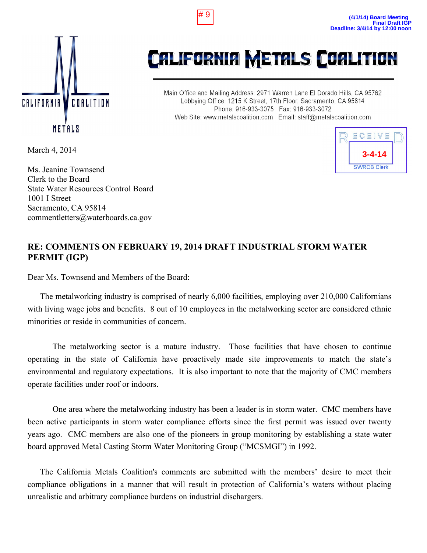

March 4, 2014

Ms. Jeanine Townsend Clerk to the Board State Water Resources Control Board 1001 I Street Sacramento, CA 95814 commentletters@waterboards.ca.gov

# CALIFORNIA METALS COALITION

Main Office and Mailing Address: 2971 Warren Lane El Dorado Hills, CA 95762 Lobbying Office: 1215 K Street, 17th Floor, Sacramento, CA 95814 Phone: 916-933-3075 Fax: 916-933-3072 Web Site: www.metalscoalition.com Email: staff@metalscoalition.com



**(4/1/14) Board Meeting**

**Deadline: 3/4/14 by 12:00 noon**

**Final Draft IGP**

# **RE: COMMENTS ON FEBRUARY 19, 2014 DRAFT INDUSTRIAL STORM WATER PERMIT (IGP)**

# 9

Dear Ms. Townsend and Members of the Board:

The metalworking industry is comprised of nearly 6,000 facilities, employing over 210,000 Californians with living wage jobs and benefits. 8 out of 10 employees in the metalworking sector are considered ethnic minorities or reside in communities of concern.

The metalworking sector is a mature industry. Those facilities that have chosen to continue operating in the state of California have proactively made site improvements to match the state's environmental and regulatory expectations. It is also important to note that the majority of CMC members operate facilities under roof or indoors.

One area where the metalworking industry has been a leader is in storm water. CMC members have been active participants in storm water compliance efforts since the first permit was issued over twenty years ago. CMC members are also one of the pioneers in group monitoring by establishing a state water board approved Metal Casting Storm Water Monitoring Group ("MCSMGI") in 1992.

The California Metals Coalition's comments are submitted with the members' desire to meet their compliance obligations in a manner that will result in protection of California's waters without placing unrealistic and arbitrary compliance burdens on industrial dischargers.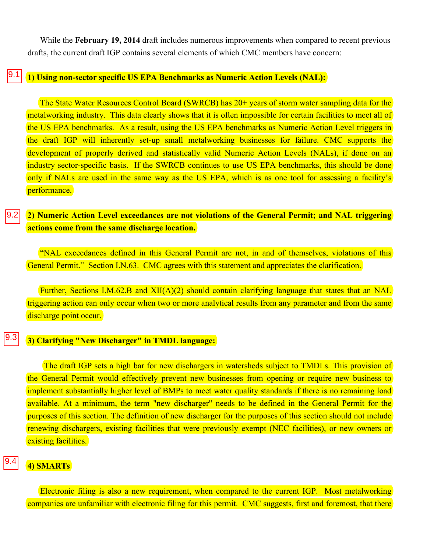While the **February 19, 2014** draft includes numerous improvements when compared to recent previous drafts, the current draft IGP contains several elements of which CMC members have concern:

### **1) Using non-sector specific US EPA Benchmarks as Numeric Action Levels (NAL):** 9.1

The State Water Resources Control Board (SWRCB) has 20+ years of storm water sampling data for the metalworking industry. This data clearly shows that it is often impossible for certain facilities to meet all of the US EPA benchmarks. As a result, using the US EPA benchmarks as Numeric Action Level triggers in the draft IGP will inherently set-up small metalworking businesses for failure. CMC supports the development of properly derived and statistically valid Numeric Action Levels (NALs), if done on an industry sector-specific basis. If the SWRCB continues to use US EPA benchmarks, this should be done only if NALs are used in the same way as the US EPA, which is as one tool for assessing a facility's performance.

# **2) Numeric Action Level exceedances are not violations of the General Permit; and NAL triggering actions come from the same discharge location.** 9.2

"NAL exceedances defined in this General Permit are not, in and of themselves, violations of this General Permit." Section I.N.63. CMC agrees with this statement and appreciates the clarification.

Further, Sections I.M.62.B and XII(A)(2) should contain clarifying language that states that an NAL triggering action can only occur when two or more analytical results from any parameter and from the same discharge point occur.

# **3) Clarifying "New Discharger" in TMDL language:** 9.3

The draft IGP sets a high bar for new dischargers in watersheds subject to TMDLs. This provision of the General Permit would effectively prevent new businesses from opening or require new business to implement substantially higher level of BMPs to meet water quality standards if there is no remaining load available. At a minimum, the term "new discharger" needs to be defined in the General Permit for the purposes of this section. The definition of new discharger for the purposes of this section should not include renewing dischargers, existing facilities that were previously exempt (NEC facilities), or new owners or existing facilities.

# **4) SMARTs** 9.4

Electronic filing is also a new requirement, when compared to the current IGP. Most metalworking companies are unfamiliar with electronic filing for this permit. CMC suggests, first and foremost, that there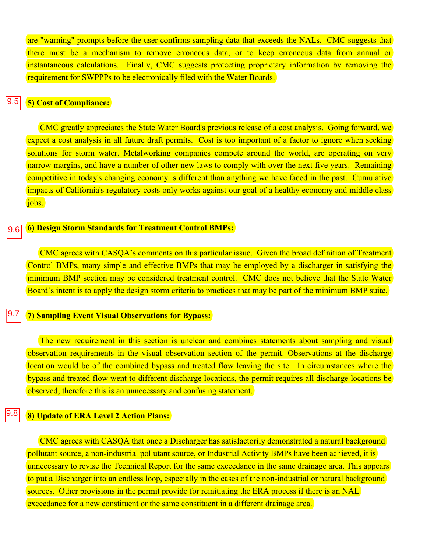are "warning" prompts before the user confirms sampling data that exceeds the NALs. CMC suggests that there must be a mechanism to remove erroneous data, or to keep erroneous data from annual or instantaneous calculations. Finally, CMC suggests protecting proprietary information by removing the requirement for SWPPPs to be electronically filed with the Water Boards.

#### **5) Cost of Compliance:**   $|9.5|$

CMC greatly appreciates the State Water Board's previous release of a cost analysis. Going forward, we expect a cost analysis in all future draft permits. Cost is too important of a factor to ignore when seeking solutions for storm water. Metalworking companies compete around the world, are operating on very narrow margins, and have a number of other new laws to comply with over the next five years. Remaining competitive in today's changing economy is different than anything we have faced in the past. Cumulative impacts of California's regulatory costs only works against our goal of a healthy economy and middle class jobs.

#### **6) Design Storm Standards for Treatment Control BMPs:** 9.6

CMC agrees with CASQA's comments on this particular issue. Given the broad definition of Treatment Control BMPs, many simple and effective BMPs that may be employed by a discharger in satisfying the minimum BMP section may be considered treatment control. CMC does not believe that the State Water Board's intent is to apply the design storm criteria to practices that may be part of the minimum BMP suite.

#### **7) Sampling Event Visual Observations for Bypass:** 9.7

The new requirement in this section is unclear and combines statements about sampling and visual observation requirements in the visual observation section of the permit. Observations at the discharge location would be of the combined bypass and treated flow leaving the site. In circumstances where the bypass and treated flow went to different discharge locations, the permit requires all discharge locations be observed; therefore this is an unnecessary and confusing statement.

#### **8) Update of ERA Level 2 Action Plans:** 9.8

CMC agrees with CASQA that once a Discharger has satisfactorily demonstrated a natural background pollutant source, a non-industrial pollutant source, or Industrial Activity BMPs have been achieved, it is unnecessary to revise the Technical Report for the same exceedance in the same drainage area. This appears to put a Discharger into an endless loop, especially in the cases of the non-industrial or natural background sources. Other provisions in the permit provide for reinitiating the ERA process if there is an NAL exceedance for a new constituent or the same constituent in a different drainage area.